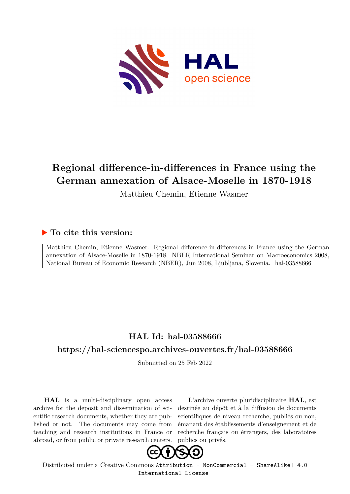

# **Regional difference-in-differences in France using the German annexation of Alsace-Moselle in 1870-1918**

Matthieu Chemin, Etienne Wasmer

## **To cite this version:**

Matthieu Chemin, Etienne Wasmer. Regional difference-in-differences in France using the German annexation of Alsace-Moselle in 1870-1918. NBER International Seminar on Macroeconomics 2008, National Bureau of Economic Research (NBER), Jun 2008, Ljubljana, Slovenia. hal-03588666

# **HAL Id: hal-03588666**

## **<https://hal-sciencespo.archives-ouvertes.fr/hal-03588666>**

Submitted on 25 Feb 2022

**HAL** is a multi-disciplinary open access archive for the deposit and dissemination of scientific research documents, whether they are published or not. The documents may come from teaching and research institutions in France or abroad, or from public or private research centers.

L'archive ouverte pluridisciplinaire **HAL**, est destinée au dépôt et à la diffusion de documents scientifiques de niveau recherche, publiés ou non, émanant des établissements d'enseignement et de recherche français ou étrangers, des laboratoires publics ou privés.



Distributed under a Creative Commons [Attribution - NonCommercial - ShareAlike| 4.0](http://creativecommons.org/licenses/by-nc-sa/4.0/) [International License](http://creativecommons.org/licenses/by-nc-sa/4.0/)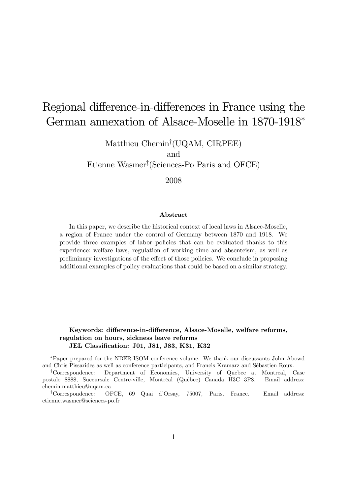# Regional difference-in-differences in France using the German annexation of Alsace-Moselle in 1870-1918

Matthieu Chemin<sup>†</sup>(UQAM, CIRPEE) and

Etienne Wasmer<sup>†</sup> (Sciences-Po Paris and OFCE)

2008

#### Abstract

In this paper, we describe the historical context of local laws in Alsace-Moselle, a region of France under the control of Germany between 1870 and 1918. We provide three examples of labor policies that can be evaluated thanks to this experience: welfare laws, regulation of working time and absenteism, as well as preliminary investigations of the effect of those policies. We conclude in proposing additional examples of policy evaluations that could be based on a similar strategy.

Keywords: difference-in-difference, Alsace-Moselle, welfare reforms, regulation on hours, sickness leave reforms JEL Classification: J01, J81, J83, K31, K32

Paper prepared for the NBER-ISOM conference volume. We thank our discussants John Abowd and Chris Pissarides as well as conference participants, and Francis Kramarz and SÈbastien Roux.

<sup>y</sup>Correspondence: Department of Economics, University of Quebec at Montreal, Case postale 8888, Succursale Centre-ville, Montréal (Québec) Canada H3C 3P8. Email address: chemin.matthieu@uqam.ca

<sup>&</sup>lt;sup>‡</sup>Correspondence: OFCE, 69 Quai d'Orsay, 75007, Paris, France. Email address: etienne.wasmer@sciences-po.fr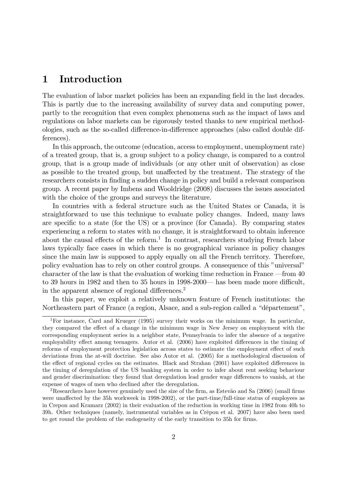# 1 Introduction

The evaluation of labor market policies has been an expanding field in the last decades. This is partly due to the increasing availability of survey data and computing power, partly to the recognition that even complex phenomena such as the impact of laws and regulations on labor markets can be rigorously tested thanks to new empirical methodologies, such as the so-called difference-in-difference approaches (also called double differences).

In this approach, the outcome (education, access to employment, unemployment rate) of a treated group, that is, a group subject to a policy change, is compared to a control group, that is a group made of individuals (or any other unit of observation) as close as possible to the treated group, but unaffected by the treatment. The strategy of the researchers consists in Önding a sudden change in policy and build a relevant comparison group. A recent paper by Imbens and Wooldridge (2008) discusses the issues associated with the choice of the groups and surveys the literature.

In countries with a federal structure such as the United States or Canada, it is straightforward to use this technique to evaluate policy changes. Indeed, many laws are specific to a state (for the US) or a province (for Canada). By comparing states experiencing a reform to states with no change, it is straightforward to obtain inference about the causal effects of the reform.<sup>1</sup> In contrast, researchers studying French labor laws typically face cases in which there is no geographical variance in policy changes since the main law is supposed to apply equally on all the French territory. Therefore, policy evaluation has to rely on other control groups. A consequence of this "universal" character of the law is that the evaluation of working time reduction in France  $\sim$  from 40 to 39 hours in 1982 and then to 35 hours in 1998-2000 $-$  has been made more difficult, in the apparent absence of regional differences.<sup>2</sup>

In this paper, we exploit a relatively unknown feature of French institutions: the Northeastern part of France (a region, Alsace, and a sub-region called a "département",

<sup>&</sup>lt;sup>1</sup>For instance, Card and Krueger (1995) survey their works on the minimum wage. In particular, they compared the effect of a change in the minimum wage in New Jersey on employment with the corresponding employment series in a neighbor state, Pennsylvania to infer the absence of a negative employability effect among teenagers. Autor et al. (2006) have exploited differences in the timing of reforms of employment protection legislation across states to estimate the employment effect of such deviations from the at-will doctrine. See also Autor et al. (2005) for a methodological discussion of the effect of regional cycles on the estimates. Black and Strahan (2001) have exploited differences in the timing of deregulation of the US banking system in order to infer about rent seeking behaviour and gender discrimination: they found that deregulation lead gender wage differences to vanish, at the expense of wages of men who declined after the deregulation.

<sup>&</sup>lt;sup>2</sup>Researchers have however genuinely used the size of the firm, as Estev $\tilde{a}$  and Sa (2006) (small firms were unaffected by the 35h workweek in 1998-2002), or the part-time/full-time status of employees as in Crepon and Kramarz (2002) in their evaluation of the reduction in working time in 1982 from 40h to 39h. Other techniques (namely, instrumental variables as in Crépon et al. 2007) have also been used to get round the problem of the endogeneity of the early transition to 35h for firms.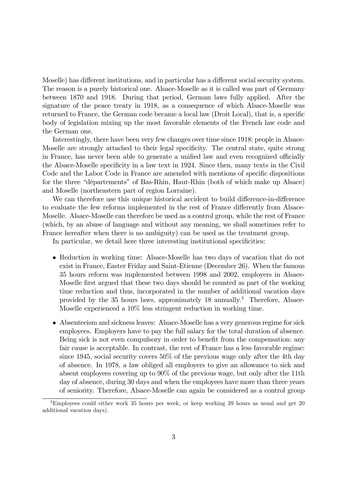Moselle) has different institutions, and in particular has a different social security system. The reason is a purely historical one. Alsace-Moselle as it is called was part of Germany between 1870 and 1918. During that period, German laws fully applied. After the signature of the peace treaty in 1918, as a consequence of which Alsace-Moselle was returned to France, the German code became a local law (Droit Local), that is, a specific body of legislation mixing up the most favorable elements of the French law code and the German one.

Interestingly, there have been very few changes over time since 1918: people in Alsace-Moselle are strongly attached to their legal specificity. The central state, quite strong in France, has never been able to generate a unified law and even recognized officially the Alsace-Moselle specificity in a law text in 1924. Since then, many texts in the Civil Code and the Labor Code in France are amended with mentions of specific dispositions for the three "départements" of Bas-Rhin, Haut-Rhin (both of which make up Alsace) and Moselle (northeastern part of region Lorraine).

We can therefore use this unique historical accident to build difference-in-difference to evaluate the few reforms implemented in the rest of France differently from Alsace-Moselle. Alsace-Moselle can therefore be used as a control group, while the rest of France (which, by an abuse of language and without any meaning, we shall sometimes refer to France hereafter when there is no ambiguity) can be used as the treatment group.

In particular, we detail here three interesting institutional specificities:

- Reduction in working time: Alsace-Moselle has two days of vacation that do not exist in France, Easter Friday and Saint-Etienne (December 26). When the famous 35 hours reform was implemented between 1998 and 2002, employers in Alsace-Moselle first argued that these two days should be counted as part of the working time reduction and thus, incorporated in the number of additional vacation days provided by the 35 hours laws, approximately 18 annually.<sup>3</sup> Therefore, Alsace-Moselle experienced a 10% less stringent reduction in working time.
- Absenteeism and sickness leaves: Alsace-Moselle has a very generous regime for sick employees. Employers have to pay the full salary for the total duration of absence. Being sick is not even compulsory in order to benefit from the compensation: any fair cause is acceptable. In contrast, the rest of France has a less favorable regime: since 1945, social security covers 50% of the previous wage only after the 4th day of absence. In 1978, a law obliged all employers to give an allowance to sick and absent employees covering up to 90% of the previous wage, but only after the 11th day of absence, during 30 days and when the employees have more than three years of seniority. Therefore, Alsace-Moselle can again be considered as a control group

<sup>&</sup>lt;sup>3</sup>Employees could either work 35 hours per week, or keep working 39 hours as usual and get 20 additional vacation days).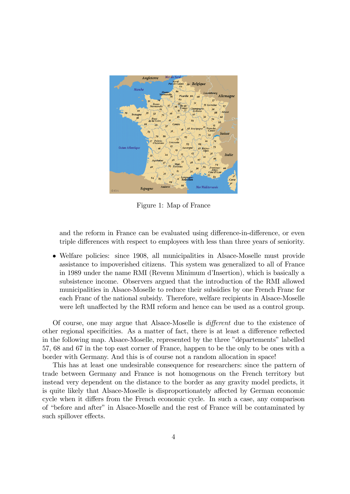

Figure 1: Map of France

and the reform in France can be evaluated using difference-in-difference, or even triple differences with respect to employees with less than three years of seniority.

 Welfare policies: since 1908, all municipalities in Alsace-Moselle must provide assistance to impoverished citizens. This system was generalized to all of France in 1989 under the name RMI (Revenu Minimum d'Insertion), which is basically a subsistence income. Observers argued that the introduction of the RMI allowed municipalities in Alsace-Moselle to reduce their subsidies by one French Franc for each Franc of the national subsidy. Therefore, welfare recipients in Alsace-Moselle were left unaffected by the RMI reform and hence can be used as a control group.

Of course, one may argue that Alsace-Moselle is *different* due to the existence of other regional specificities. As a matter of fact, there is at least a difference reflected in the following map. Alsace-Moselle, represented by the three "départements" labelled 57, 68 and 67 in the top east corner of France, happen to be the only to be ones with a border with Germany. And this is of course not a random allocation in space!

This has at least one undesirable consequence for researchers: since the pattern of trade between Germany and France is not homogenous on the French territory but instead very dependent on the distance to the border as any gravity model predicts, it is quite likely that Alsace-Moselle is disproportionately affected by German economic cycle when it differs from the French economic cycle. In such a case, any comparison of "before and after" in Alsace-Moselle and the rest of France will be contaminated by such spillover effects.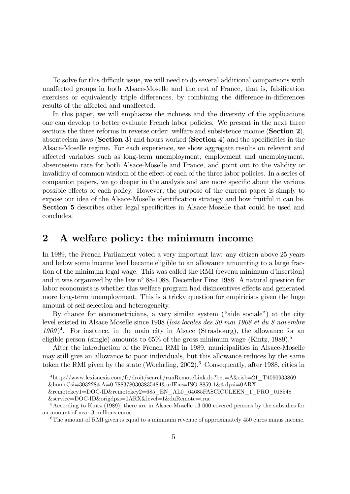To solve for this difficult issue, we will need to do several additional comparisons with unaffected groups in both Alsace-Moselle and the rest of France, that is, falsification exercises or equivalently triple differences, by combining the difference-in-differences results of the affected and unaffected.

In this paper, we will emphasize the richness and the diversity of the applications one can develop to better evaluate French labor policies. We present in the next three sections the three reforms in reverse order: welfare and subsistence income (Section 2), absenteeism laws (Section 3) and hours worked (Section 4) and the specificities in the Alsace-Moselle regime. For each experience, we show aggregate results on relevant and affected variables such as long-term unemployment, employment and unemployment, absenteeism rate for both Alsace-Moselle and France, and point out to the validity or invalidity of common wisdom of the effect of each of the three labor policies. In a series of companion papers, we go deeper in the analysis and are more specific about the various possible effects of each policy. However, the purpose of the current paper is simply to expose our idea of the Alsace-Moselle identification strategy and how fruitful it can be. Section 5 describes other legal specificities in Alsace-Moselle that could be used and concludes.

# 2 A welfare policy: the minimum income

In 1989, the French Parliament voted a very important law: any citizen above 25 years and below some income level became eligible to an allowance amounting to a large fraction of the minimum legal wage. This was called the RMI (revenu minimum d'insertion) and it was organized by the law  $n^{\circ}$  88-1088, December First 1988. A natural question for labor economists is whether this welfare program had disincentives effects and generated more long-term unemployment. This is a tricky question for empiricists given the huge amount of self-selection and heterogeneity.

By chance for econometricians, a very similar system ("aide sociale") at the city level existed in Alsace Moselle since 1908 (lois locales des 30 mai 1908 et du 8 novembre  $1909)^4$ . For instance, in the main city in Alsace (Strasbourg), the allowance for an eligible person (single) amounts to  $65\%$  of the gross minimum wage (Kintz, 1989).<sup>5</sup>

After the introduction of the French RMI in 1989, municipalities in Alsace-Moselle may still give an allowance to poor individuals, but this allowance reduces by the same token the RMI given by the state (Woehrling,  $2002$ ).<sup>6</sup> Consequently, after 1988, cities in

<sup>4</sup>http://www.lexisnexis.com/fr/droit/search/runRemoteLink.do?bct=A&risb=21\_T4090933869 &homeCsi=303228&A=0.7883780303835484&urlEnc=ISO-8859-1&&dpsi=0ARX

<sup>&</sup>amp;remotekey1=DOC-ID&remotekey2=685\_EN\_AL0\_64685FASCICULEEN\_1\_PRO\_018548 &service=DOC-ID&origdpsi=0ARX&level=1&duRemote=true

<sup>5</sup>According to Kintz (1989), there are in Alsace-Moselle 13 000 covered persons by the subsidies for an amount of near 3 millions euros.

 $6$ The amount of RMI given is equal to a miminum revenue of approximately 450 euros minus income.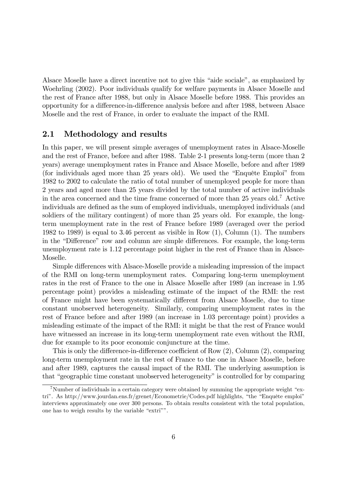Alsace Moselle have a direct incentive not to give this "aide sociale", as emphasized by Woehrling (2002). Poor individuals qualify for welfare payments in Alsace Moselle and the rest of France after 1988, but only in Alsace Moselle before 1988. This provides an opportunity for a difference-in-difference analysis before and after 1988, between Alsace Moselle and the rest of France, in order to evaluate the impact of the RMI.

#### 2.1 Methodology and results

In this paper, we will present simple averages of unemployment rates in Alsace-Moselle and the rest of France, before and after 1988. Table 2-1 presents long-term (more than 2 years) average unemployment rates in France and Alsace Moselle, before and after 1989 (for individuals aged more than  $25$  years old). We used the "Enquête Emploi" from 1982 to 2002 to calculate the ratio of total number of unemployed people for more than 2 years and aged more than 25 years divided by the total number of active individuals in the area concerned and the time frame concerned of more than 25 years old.<sup>7</sup> Active individuals are defined as the sum of employed individuals, unemployed individuals (and soldiers of the military contingent) of more than 25 years old. For example, the longterm unemployment rate in the rest of France before 1989 (averaged over the period 1982 to 1989) is equal to 3.46 percent as visible in Row (1), Column (1). The numbers in the "Difference" row and column are simple differences. For example, the long-term unemployment rate is 1.12 percentage point higher in the rest of France than in Alsace-Moselle.

Simple differences with Alsace-Moselle provide a misleading impression of the impact of the RMI on long-term unemployment rates. Comparing long-term unemployment rates in the rest of France to the one in Alsace Moselle after 1989 (an increase in 1.95 percentage point) provides a misleading estimate of the impact of the RMI: the rest of France might have been systematically different from Alsace Moselle, due to time constant unobserved heterogeneity. Similarly, comparing unemployment rates in the rest of France before and after 1989 (an increase in 1.03 percentage point) provides a misleading estimate of the impact of the RMI: it might be that the rest of France would have witnessed an increase in its long-term unemployment rate even without the RMI, due for example to its poor economic conjuncture at the time.

This is only the difference-in-difference coefficient of Row  $(2)$ , Column  $(2)$ , comparing long-term unemployment rate in the rest of France to the one in Alsace Moselle, before and after 1989, captures the causal impact of the RMI. The underlying assumption is that "geographic time constant unobserved heterogeneity" is controlled for by comparing

<sup>&</sup>lt;sup>7</sup>Number of individuals in a certain category were obtained by summing the appropriate weight "extri<sup>n</sup>. As http://www.jourdan.ens.fr/grenet/Econometrie/Codes.pdf highlights, "the "Enquête emploi" interviews approximately one over 300 persons. To obtain results consistent with the total population, one has to weigh results by the variable "extri"".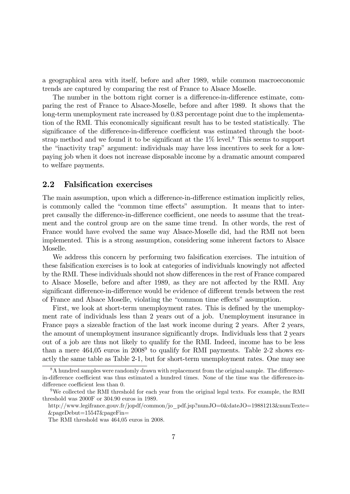a geographical area with itself, before and after 1989, while common macroeconomic trends are captured by comparing the rest of France to Alsace Moselle.

The number in the bottom right corner is a difference-in-difference estimate, comparing the rest of France to Alsace-Moselle, before and after 1989. It shows that the long-term unemployment rate increased by 0.83 percentage point due to the implementation of the RMI. This economically significant result has to be tested statistically. The significance of the difference-in-difference coefficient was estimated through the bootstrap method and we found it to be significant at the  $1\%$  level.<sup>8</sup> This seems to support the "inactivity trap" argument: individuals may have less incentives to seek for a lowpaying job when it does not increase disposable income by a dramatic amount compared to welfare payments.

#### 2.2 Falsification exercises

The main assumption, upon which a difference-in-difference estimation implicitly relies, is commonly called the "common time effects" assumption. It means that to interpret causally the difference-in-difference coefficient, one needs to assume that the treatment and the control group are on the same time trend. In other words, the rest of France would have evolved the same way Alsace-Moselle did, had the RMI not been implemented. This is a strong assumption, considering some inherent factors to Alsace Moselle.

We address this concern by performing two falsification exercises. The intuition of these falsification exercises is to look at categories of individuals knowingly not affected by the RMI. These individuals should not show differences in the rest of France compared to Alsace Moselle, before and after 1989, as they are not affected by the RMI. Any significant difference-in-difference would be evidence of different trends between the rest of France and Alsace Moselle, violating the "common time effects" assumption.

First, we look at short-term unemployment rates. This is defined by the unemployment rate of individuals less than 2 years out of a job. Unemployment insurance in France pays a sizeable fraction of the last work income during 2 years. After 2 years, the amount of unemployment insurance significantly drops. Individuals less that 2 years out of a job are thus not likely to qualify for the RMI. Indeed, income has to be less than a mere  $464,05$  euros in  $2008<sup>9</sup>$  to qualify for RMI payments. Table 2-2 shows exactly the same table as Table 2-1, but for short-term unemployment rates. One may see

 $8A$  hundred samples were randomly drawn with replacement from the original sample. The differencein-difference coefficient was thus estimated a hundred times. None of the time was the difference-indifference coefficient less than 0.

<sup>&</sup>lt;sup>9</sup>We collected the RMI threshold for each year from the original legal texts. For example, the RMI threshold was 2000F or 304.90 euros in 1989.

http://www.legifrance.gouv.fr/jopdf/common/jo\_pdf.jsp?numJO=0&dateJO=19881213&numTexte= &pageDebut=15547&pageFin=

The RMI threshold was 464,05 euros in 2008.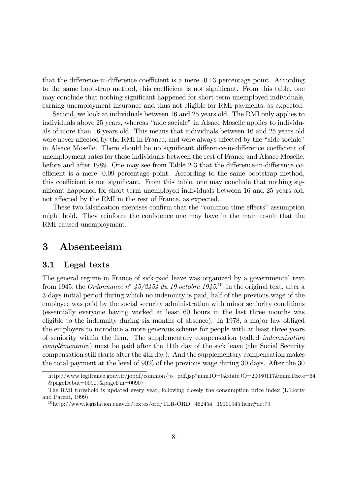that the difference-in-difference coefficient is a mere  $-0.13$  percentage point. According to the same bootstrap method, this coefficient is not significant. From this table, one may conclude that nothing significant happened for short-term unemployed individuals, earning unemployment insurance and thus not eligible for RMI payments, as expected.

Second, we look at individuals between 16 and 25 years old. The RMI only applies to individuals above 25 years, whereas "aide sociale" in Alsace Moselle applies to individuals of more than 16 years old. This means that individuals between 16 and 25 years old were never affected by the RMI in France, and were always affected by the "aide sociale" in Alsace Moselle. There should be no significant difference-in-difference coefficient of unemployment rates for these individuals between the rest of France and Alsace Moselle, before and after 1989. One may see from Table 2-3 that the difference-in-difference coefficient is a mere  $-0.09$  percentage point. According to the same bootstrap method, this coefficient is not significant. From this table, one may conclude that nothing significant happened for short-term unemployed individuals between 16 and 25 years old, not affected by the RMI in the rest of France, as expected.

These two falsification exercises confirm that the "common time effects" assumption might hold. They reinforce the confidence one may have in the main result that the RMI caused unemployment.

## 3 Absenteeism

#### 3.1 Legal texts

The general regime in France of sick-paid leave was organized by a governmental text from 1945, the *Ordonnance*  $n^{\circ}$  45/2454 du 19 octobre 1945.<sup>10</sup> In the original text, after a 3-days initial period during which no indemnity is paid, half of the previous wage of the employee was paid by the social security administration with minor seniority conditions (essentially everyone having worked at least 60 hours in the last three months was eligible to the indemnity during six months of absence). In 1978, a major law obliged the employers to introduce a more generous scheme for people with at least three years of seniority within the Örm. The supplementary compensation (called indemnisation  $complementaire)$  must be paid after the 11th day of the sick leave (the Social Security compensation still starts after the 4th day). And the supplementary compensation makes the total payment at the level of 90% of the previous wage during 30 days. After the 30

http://www.legifrance.gouv.fr/jopdf/common/jo\_pdf.jsp?numJO=0&dateJO=20080117&numTexte=64 &pageDebut=00907&pageFin=00907

The RMI threshold is updated every year, following closely the consumption price index (L'Horty and Parent, 1999).

<sup>10</sup>http://www.legislation.cnav.fr/textes/ord/TLR-ORD\_452454\_19101945.htm#art79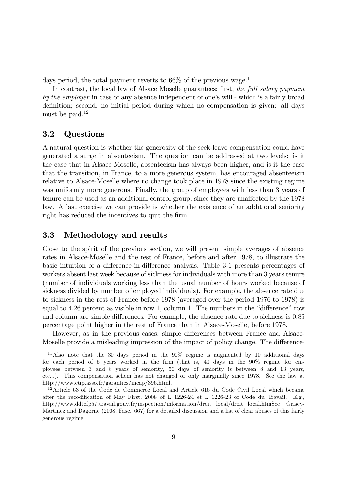days period, the total payment reverts to  $66\%$  of the previous wage.<sup>11</sup>

In contrast, the local law of Alsace Moselle guarantees: first, the full salary payment by the employer in case of any absence independent of one's will - which is a fairly broad definition; second, no initial period during which no compensation is given: all days must be paid. $12$ 

#### 3.2 Questions

A natural question is whether the generosity of the seek-leave compensation could have generated a surge in absenteeism. The question can be addressed at two levels: is it the case that in Alsace Moselle, absenteeism has always been higher, and is it the case that the transition, in France, to a more generous system, has encouraged absenteeism relative to Alsace-Moselle where no change took place in 1978 since the existing regime was uniformly more generous. Finally, the group of employees with less than 3 years of tenure can be used as an additional control group, since they are unaffected by the 1978 law. A last exercise we can provide is whether the existence of an additional seniority right has reduced the incentives to quit the firm.

#### 3.3 Methodology and results

Close to the spirit of the previous section, we will present simple averages of absence rates in Alsace-Moselle and the rest of France, before and after 1978, to illustrate the basic intuition of a difference-in-difference analysis. Table 3-1 presents percentages of workers absent last week because of sickness for individuals with more than 3 years tenure (number of individuals working less than the usual number of hours worked because of sickness divided by number of employed individuals). For example, the absence rate due to sickness in the rest of France before 1978 (averaged over the period 1976 to 1978) is equal to  $4.26$  percent as visible in row 1, column 1. The numbers in the "difference" row and column are simple differences. For example, the absence rate due to sickness is 0.85 percentage point higher in the rest of France than in Alsace-Moselle, before 1978.

However, as in the previous cases, simple differences between France and Alsace-Moselle provide a misleading impression of the impact of policy change. The difference-

 $11$ Also note that the 30 days period in the 90% regime is augmented by 10 additional days for each period of 5 years worked in the firm (that is,  $40 \text{ days}$  in the  $90\%$  regime for employees between 3 and 8 years of seniority, 50 days of seniority is between 8 and 13 years, etc...). This compensation schem has not changed or only marginally since 1978. See the law at http://www.ctip.asso.fr/garanties/incap/396.html.

<sup>&</sup>lt;sup>12</sup>Article 63 of the Code de Commerce Local and Article 616 du Code Civil Local which became after the recodification of May First, 2008 of L 1226-24 et L 1226-23 of Code du Travail. E.g., http://www.ddtefp57.travail.gouv.fr/inspection/information/droit\_local/droit\_local.htmSee Grisey-Martinez and Dagorne (2008, Fasc. 667) for a detailed discussion and a list of clear abuses of this fairly generous regime.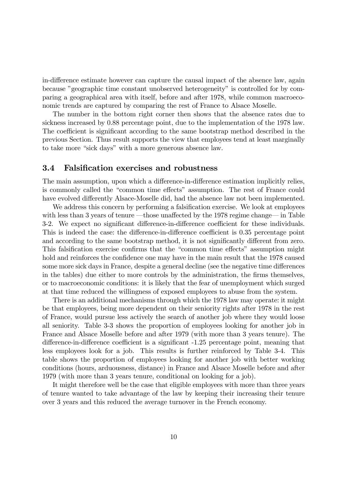in-difference estimate however can capture the causal impact of the absence law, again because "geographic time constant unobserved heterogeneity" is controlled for by comparing a geographical area with itself, before and after 1978, while common macroeconomic trends are captured by comparing the rest of France to Alsace Moselle.

The number in the bottom right corner then shows that the absence rates due to sickness increased by 0.88 percentage point, due to the implementation of the 1978 law. The coefficient is significant according to the same bootstrap method described in the previous Section. Thus result supports the view that employees tend at least marginally to take more "sick days" with a more generous absence law.

#### 3.4 Falsification exercises and robustness

The main assumption, upon which a difference-in-difference estimation implicitly relies, is commonly called the "common time effects" assumption. The rest of France could have evolved differently Alsace-Moselle did, had the absence law not been implemented.

We address this concern by performing a falsification exercise. We look at employees with less than 3 years of tenure  $\sim$  those unaffected by the 1978 regime change $\sim$  in Table 3-2. We expect no significant difference-in-difference coefficient for these individuals. This is indeed the case: the difference-in-difference coefficient is 0.35 percentage point and according to the same bootstrap method, it is not significantly different from zero. This falsification exercise confirms that the "common time effects" assumption might hold and reinforces the confidence one may have in the main result that the 1978 caused some more sick days in France, despite a general decline (see the negative time differences in the tables) due either to more controls by the administration, the firms themselves, or to macroeconomic conditions: it is likely that the fear of unemployment which surged at that time reduced the willingness of exposed employees to abuse from the system.

There is an additional mechanisms through which the 1978 law may operate: it might be that employees, being more dependent on their seniority rights after 1978 in the rest of France, would pursue less actively the search of another job where they would loose all seniority. Table 3-3 shows the proportion of employees looking for another job in France and Alsace Moselle before and after 1979 (with more than 3 years tenure). The difference-in-difference coefficient is a significant -1.25 percentage point, meaning that less employees look for a job. This results is further reinforced by Table 3-4. This table shows the proportion of employees looking for another job with better working conditions (hours, arduousness, distance) in France and Alsace Moselle before and after 1979 (with more than 3 years tenure, conditional on looking for a job).

It might therefore well be the case that eligible employees with more than three years of tenure wanted to take advantage of the law by keeping their increasing their tenure over 3 years and this reduced the average turnover in the French economy.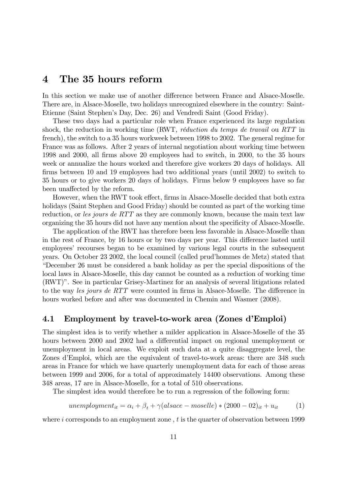# 4 The 35 hours reform

In this section we make use of another difference between France and Alsace-Moselle. There are, in Alsace-Moselle, two holidays unrecognized elsewhere in the country: Saint-Etienne (Saint Stephenís Day, Dec. 26) and Vendredi Saint (Good Friday).

These two days had a particular role when France experienced its large regulation shock, the reduction in working time (RWT, réduction du temps de travail ou RTT in french), the switch to a 35 hours workweek between 1998 to 2002. The general regime for France was as follows. After 2 years of internal negotiation about working time between 1998 and 2000, all Örms above 20 employees had to switch, in 2000, to the 35 hours week or annualize the hours worked and therefore give workers 20 days of holidays. All firms between 10 and 19 employees had two additional years (until 2002) to switch to 35 hours or to give workers 20 days of holidays. Firms below 9 employees have so far been unaffected by the reform.

However, when the RWT took effect, firms in Alsace-Moselle decided that both extra holidays (Saint Stephen and Good Friday) should be counted as part of the working time reduction, or les jours de RTT as they are commonly known, because the main text law organizing the 35 hours did not have any mention about the specificity of Alsace-Moselle.

The application of the RWT has therefore been less favorable in Alsace-Moselle than in the rest of France, by 16 hours or by two days per year. This difference lasted until employees' recourses began to be examined by various legal courts in the subsequent years. On October 23 2002, the local council (called prudíhommes de Metz) stated that ìDecember 26 must be considered a bank holiday as per the special dispositions of the local laws in Alsace-Moselle, this day cannot be counted as a reduction of working time (RWT)". See in particular Grisey-Martinez for an analysis of several litigations related to the way les jours de RTT were counted in firms in Alsace-Moselle. The difference in hours worked before and after was documented in Chemin and Wasmer (2008).

#### 4.1 Employment by travel-to-work area (Zones d'Emploi)

The simplest idea is to verify whether a milder application in Alsace-Moselle of the 35 hours between 2000 and 2002 had a differential impact on regional unemployment or unemployment in local areas. We exploit such data at a quite disaggregate level, the Zones d'Emploi, which are the equivalent of travel-to-work areas: there are 348 such areas in France for which we have quarterly unemployment data for each of those areas between 1999 and 2006, for a total of approximately 14400 observations. Among these 348 areas, 17 are in Alsace-Moselle, for a total of 510 observations.

The simplest idea would therefore be to run a regression of the following form:

unemptyment<sub>it</sub> = 
$$
\alpha_i + \beta_t + \gamma
$$
(also  
 $a_t = -\text{model}(k) * (2000 - 02)_t + u_{it}$  (1)

where  $i$  corresponds to an employment zone,  $t$  is the quarter of observation between 1999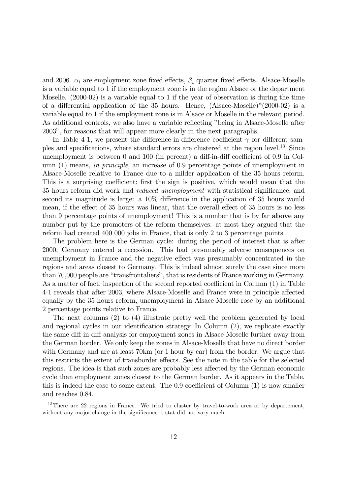and 2006.  $\alpha_i$  are employment zone fixed effects,  $\beta_t$  quarter fixed effects. Alsace-Moselle is a variable equal to 1 if the employment zone is in the region Alsace or the department Moselle. (2000-02) is a variable equal to 1 if the year of observation is during the time of a differential application of the 35 hours. Hence,  $(A\text{lspace-Moselle})*(2000-02)$  is a variable equal to 1 if the employment zone is in Alsace or Moselle in the relevant period. As additional controls, we also have a variable reflecting "being in Alsace-Moselle after 2003î, for reasons that will appear more clearly in the next paragraphs.

In Table 4-1, we present the difference-in-difference coefficient  $\gamma$  for different samples and specifications, where standard errors are clustered at the region level.<sup>13</sup> Since unemployment is between 0 and 100 (in percent) a diff-in-diff coefficient of  $0.9$  in Column (1) means, in principle, an increase of 0.9 percentage points of unemployment in Alsace-Moselle relative to France due to a milder application of the 35 hours reform. This is a surprising coefficient: first the sign is positive, which would mean that the 35 hours reform did work and *reduced unemployment* with statistical significance; and second its magnitude is large: a  $10\%$  difference in the application of 35 hours would mean, if the effect of 35 hours was linear, that the overall effect of 35 hours is no less than 9 percentage points of unemployment! This is a number that is by far above any number put by the promoters of the reform themselves: at most they argued that the reform had created 400 000 jobs in France, that is only 2 to 3 percentage points.

The problem here is the German cycle: during the period of interest that is after 2000, Germany entered a recession. This had presumably adverse consequences on unemployment in France and the negative effect was presumably concentrated in the regions and areas closest to Germany. This is indeed almost surely the case since more than 70,000 people are "transfrontaliers", that is residents of France working in Germany. As a matter of fact, inspection of the second reported coefficient in Column (1) in Table 4-1 reveals that after 2003, where Alsace-Moselle and France were in principle affected equally by the 35 hours reform, unemployment in Alsace-Moselle rose by an additional 2 percentage points relative to France.

The next columns (2) to (4) illustrate pretty well the problem generated by local and regional cycles in our identification strategy. In Column  $(2)$ , we replicate exactly the same diff-in-diff analysis for employment zones in Alsace-Moselle further away from the German border. We only keep the zones in Alsace-Moselle that have no direct border with Germany and are at least 70km (or 1 hour by car) from the border. We argue that this restricts the extent of transborder effects. See the note in the table for the selected regions. The idea is that such zones are probably less affected by the German economic cycle than employment zones closest to the German border. As it appears in the Table, this is indeed the case to some extent. The  $0.9$  coefficient of Column  $(1)$  is now smaller and reaches 0.84.

 $13$ There are 22 regions in France. We tried to cluster by travel-to-work area or by departement, without any major change in the significance: t-stat did not vary much.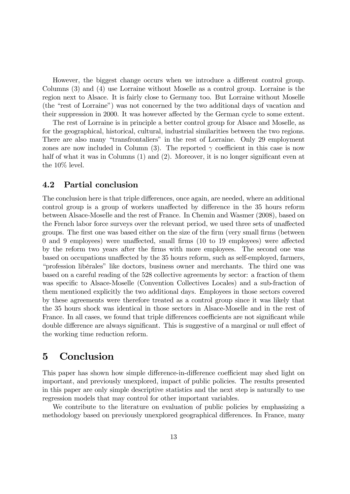However, the biggest change occurs when we introduce a different control group. Columns (3) and (4) use Lorraine without Moselle as a control group. Lorraine is the region next to Alsace. It is fairly close to Germany too. But Lorraine without Moselle (the "rest of Lorraine") was not concerned by the two additional days of vacation and their suppression in 2000. It was however affected by the German cycle to some extent.

The rest of Lorraine is in principle a better control group for Alsace and Moselle, as for the geographical, historical, cultural, industrial similarities between the two regions. There are also many "transfrontaliers" in the rest of Lorraine. Only 29 employment zones are now included in Column (3). The reported  $\gamma$  coefficient in this case is now half of what it was in Columns  $(1)$  and  $(2)$ . Moreover, it is no longer significant even at the 10% level.

#### 4.2 Partial conclusion

The conclusion here is that triple differences, once again, are needed, where an additional control group is a group of workers unaffected by difference in the 35 hours reform between Alsace-Moselle and the rest of France. In Chemin and Wasmer (2008), based on the French labor force surveys over the relevant period, we used three sets of unaffected groups. The first one was based either on the size of the firm (very small firms (between  $0$  and  $9$  employees) were unaffected, small firms (10 to 19 employees) were affected by the reform two years after the Örms with more employees. The second one was based on occupations unaffected by the 35 hours reform, such as self-employed, farmers, ìprofession libÈralesî like doctors, business owner and merchants. The third one was based on a careful reading of the 528 collective agreements by sector: a fraction of them was specific to Alsace-Moselle (Convention Collectives Locales) and a sub-fraction of them mentioned explicitly the two additional days. Employees in those sectors covered by these agreements were therefore treated as a control group since it was likely that the 35 hours shock was identical in those sectors in Alsace-Moselle and in the rest of France. In all cases, we found that triple differences coefficients are not significant while double difference are always significant. This is suggestive of a marginal or null effect of the working time reduction reform.

### 5 Conclusion

This paper has shown how simple difference-in-difference coefficient may shed light on important, and previously unexplored, impact of public policies. The results presented in this paper are only simple descriptive statistics and the next step is naturally to use regression models that may control for other important variables.

We contribute to the literature on evaluation of public policies by emphasizing a methodology based on previously unexplored geographical differences. In France, many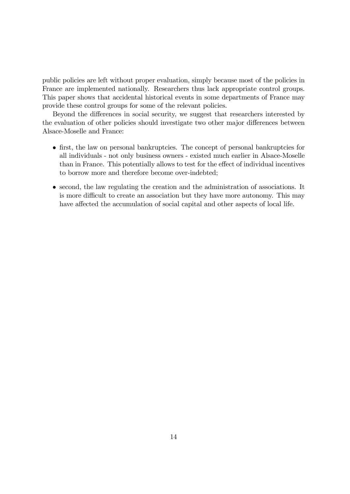public policies are left without proper evaluation, simply because most of the policies in France are implemented nationally. Researchers thus lack appropriate control groups. This paper shows that accidental historical events in some departments of France may provide these control groups for some of the relevant policies.

Beyond the differences in social security, we suggest that researchers interested by the evaluation of other policies should investigate two other major differences between Alsace-Moselle and France:

- first, the law on personal bankruptcies. The concept of personal bankruptcies for all individuals - not only business owners - existed much earlier in Alsace-Moselle than in France. This potentially allows to test for the effect of individual incentives to borrow more and therefore become over-indebted;
- second, the law regulating the creation and the administration of associations. It is more difficult to create an association but they have more autonomy. This may have affected the accumulation of social capital and other aspects of local life.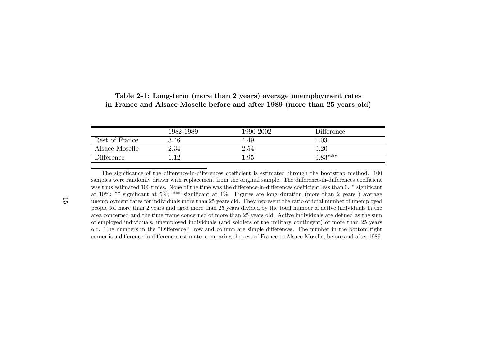|                   | 1982-1989 | 1990-2002 | Difference |
|-------------------|-----------|-----------|------------|
| Rest of France    | $3.46\,$  | 4.49      | $1.03\,$   |
| Alsace Moselle    | 2.34      | 2.54      | $\rm 0.20$ |
| <b>Difference</b> |           | .95       | $0.83***$  |

|  | Table 2-1: Long-term (more than 2 years) average unemployment rates         |
|--|-----------------------------------------------------------------------------|
|  | in France and Alsace Moselle before and after 1989 (more than 25 years old) |

The significance of the difference-in-differences coefficient is estimated through the bootstrap method. 100 samples were randomly drawn with replacement from the original sample. The difference-in-differences coefficient was thus estimated 100 times. None of the time was the difference-in-differences coefficient less than 0. \* significant at 10%; \*\* significant at 5%; \*\*\* significant at 1%. Figures are long duration (more than 2 years) average unemployment rates for individuals more than 25 years old. They represent the ratio of total number of unemployed people for more than 2 years and aged more than 25 years divided by the total number of active individuals in thearea concerned and the time frame concerned of more than 25 years old. Active individuals are defined as the sum of employed individuals, unemployed individuals (and soldiers of the military contingent) of more than <sup>25</sup> yearsold. The numbers in the "Difference " row and column are simple differences. The number in the bottom right corner is a difference-in-differences estimate, comparing the rest of France to Alsace-Moselle, before and after 1989.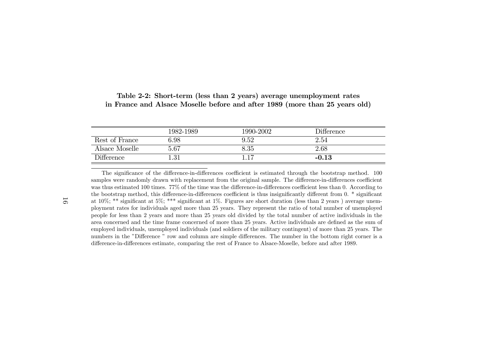|                   | 1982-1989 | 1990-2002 | Difference |
|-------------------|-----------|-----------|------------|
| Rest of France    | 6.98      | 9.52      | 2.54       |
| Alsace Moselle    | 5.67      | $8.35\,$  | 2.68       |
| <b>Difference</b> | - 21      | . 17      | $-0.13$    |

#### Table 2-2: Short-term (less than <sup>2</sup> years) average unemployment ratesin France and Alsace Moselle before and after <sup>1989</sup> (more than <sup>25</sup> years old)

The significance of the difference-in-differences coefficient is estimated through the bootstrap method. 100 samples were randomly drawn with replacement from the original sample. The difference-in-differences coefficient was thus estimated 100 times. 77% of the time was the difference-in-differences coefficient less than 0. According to the bootstrap method, this difference-in-differences coefficient is thus insignificantly different from 0. \* significant at 10%; \*\* significant at 5%; \*\*\* significant at 1%. Figures are short duration (less than 2 years) average unem<sup>p</sup>loyment rates for individuals aged more than 25 years. They represent the ratio of total number of unemployed people for less than 2 years and more than 25 years old divided by the total number of active individuals in thearea concerned and the time frame concerned of more than 25 years. Active individuals are defined as the sum of employed individuals, unemployed individuals (and soldiers of the military contingent) of more than <sup>25</sup> years. Thenumbers in the "Difference " row and column are simple differences. The number in the bottom right corner is a difference-in-differences estimate, comparing the rest of France to Alsace-Moselle, before and after 1989.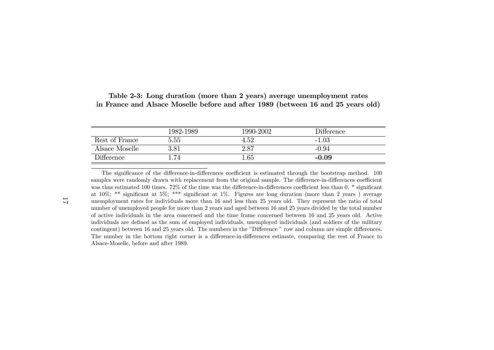|                   | 1982-1989 | 1990-2002 | Difference |
|-------------------|-----------|-----------|------------|
| Rest of France    | 5.55      | $4.52\,$  | $-1.03$    |
| Alsace Moselle    | 3.81      | 2.87      | $-0.94$    |
| <b>Difference</b> | .74       | .65       | $-0.09$    |

| Table 2-3: Long duration (more than 2 years) average unemployment rates          |  |  |  |
|----------------------------------------------------------------------------------|--|--|--|
| in France and Alsace Moselle before and after 1989 (between 16 and 25 years old) |  |  |  |

The significance of the difference-in-differences coefficient is estimated through the bootstrap method. 100 samples were randomly drawn with replacement from the original sample. The difference-in-differences coefficient was thus estimated 100 times.  $72\%$  of the time was the difference-in-differences coefficient less than 0.  $*$  significant at 10%; \*\* significant at 5%; \*\*\* significant at 1%. Figures are long duration (more than 2 years) average unemployment rates for individuals more than 16 and less than 25 years old. They represent the ratio of total number of unemployed people for more than 2 years and aged between 16 and 25 years divided by the total number of active individuals in the area concerned and the time frame concerned between 16 and 25 years old. Activeindividuals are defined as the sum of employed individuals, unemployed individuals (and soldiers of the military contingent) between 16 and 25 years old. The numbers in the "Difference " row and column are simple differences. The number in the bottom right corner is a difference-in-differences estimate, comparing the rest of France to Alsace-Moselle, before and after 1989.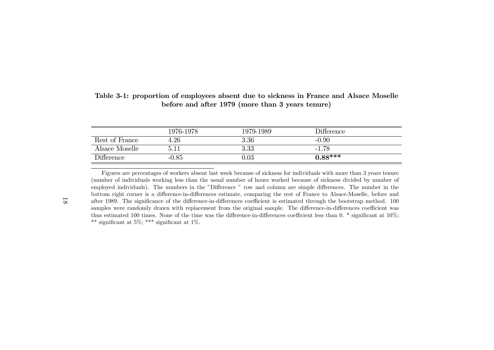|                   | 1976-1978 | 1979-1989  | <b>Difference</b> |
|-------------------|-----------|------------|-------------------|
| Rest of France    | $4.26\,$  | 3.36       | $-0.90$           |
| Alsace Moselle    | 5.11      | 3.33       | $-1.78$           |
| <b>Difference</b> | $-0.85$   | $\rm 0.03$ | $0.88***$         |

Table 3-1: proportion of employees absent due to sickness in France and Alsace Mosellebefore and after <sup>1979</sup> (more than <sup>3</sup> years tenure)

Figures are percentages of workers absent last week because of sickness for individuals with more than 3 years tenure (number of individuals working less than the usual number of hours worked because of sickness divided by number ofemployed individuals). The numbers in the "Difference " row and column are simple differences. The number in the bottom right corner is a difference-in-differences estimate, comparing the rest of France to Alsace-Moselle, before and after 1989. The significance of the difference-in-differences coefficient is estimated through the bootstrap method. 100 samples were randomly drawn with replacement from the original sample. The difference-in-differences coefficient was thus estimated 100 times. None of the time was the difference-in-differences coefficient less than 0.  $*$  significant at 10%; \*\* significant at 5%; \*\*\* significant at 1%.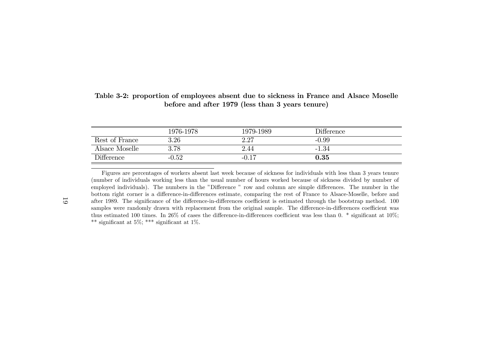|                   | 1976-1978 | 1979-1989 | <b>Difference</b> |
|-------------------|-----------|-----------|-------------------|
| Rest of France    | $3.26\,$  | 2.27      | $-0.99$           |
| Alsace Moselle    | 3.78      | 2.44      | $-1.34$           |
| <b>Difference</b> | $-0.52$   | $-0.17$   | 0.35              |

Table 3-2: proportion of employees absent due to sickness in France and Alsace Mosellebefore and after <sup>1979</sup> (less than <sup>3</sup> years tenure)

Figures are percentages of workers absent last week because of sickness for individuals with less than 3 years tenure (number of individuals working less than the usual number of hours worked because of sickness divided by number ofemployed individuals). The numbers in the "Difference " row and column are simple differences. The number in the bottom right corner is a difference-in-differences estimate, comparing the rest of France to Alsace-Moselle, before and after 1989. The significance of the difference-in-differences coefficient is estimated through the bootstrap method. 100 samples were randomly drawn with replacement from the original sample. The difference-in-differences coefficient was thus estimated 100 times. In 26% of cases the difference-in-differences coefficient was less than 0. \* significant at 10%; \*\* significant at 5%; \*\*\* significant at 1%.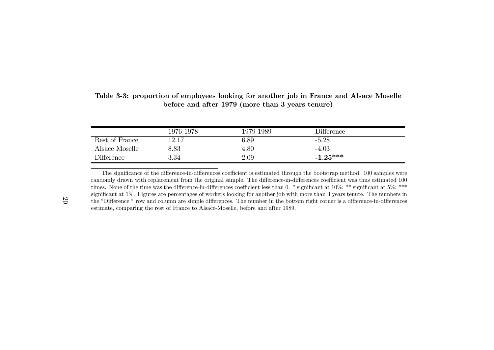|                                | 1976-1978 | 1979-1989 | Difference |
|--------------------------------|-----------|-----------|------------|
| Rest of France                 | 12.17     | 6.89      | $-5.28$    |
| Alsace Moselle                 | 3.83      | 4.80      | $-4.03$    |
| $\mathop{\mathrm{Difference}}$ | $3.34\,$  | 2.09      | $-1.25***$ |

#### Table 3-3: proportion of employees looking for another job in France and Alsace Mosellebefore and after <sup>1979</sup> (more than <sup>3</sup> years tenure)

The significance of the difference-in-differences coefficient is estimated through the bootstrap method. 100 samples were randomly drawn with replacement from the original sample. The difference-in-differences coefficient was thus estimated 100 times. None of the time was the difference-in-differences coefficient less than 0. \* significant at  $10\%$ ; \*\* significant at  $5\%$ ; \*\*\* significant at 1%. Figures are percentages of workers looking for another job with more than 3 years tenure. The numbers in the "Difference " row and column are simple differences. The number in the bottom right corner is a difference-in-differences estimate, comparing the rest of France to Alsace-Moselle, before and after 1989.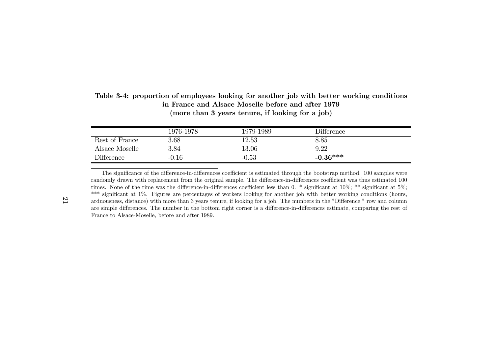|                   | 1976-1978 | 1979-1989 | Difference |
|-------------------|-----------|-----------|------------|
| Rest of France    | 3.68      | 12.53     | 8.85       |
| Alsace Moselle    | 3.84      | 13.06     | 9.22       |
| <b>Difference</b> | $-0.16$   | $-0.53$   | $-0.36***$ |

#### Table 3-4: proportion of employees looking for another job with better working conditionsin France and Alsace Moselle before and after 1979(more than <sup>3</sup> years tenure, if looking for <sup>a</sup> job)

The significance of the difference-in-differences coefficient is estimated through the bootstrap method. 100 samples were randomly drawn with replacement from the original sample. The difference-in-differences coefficient was thus estimated 100 times. None of the time was the difference-in-differences coefficient less than 0. \* significant at  $10\%$ ; \*\* significant at  $5\%$ ; \*\*\* significant at 1%. Figures are percentages of workers looking for another job with better working conditions (hours, arduousness, distance) with more than 3 years tenure, if looking for a job. The numbers in the "Difference " row and column are simple differences. The number in the bottom right corner is a difference-in-differences estimate, comparing the rest of France to Alsace-Moselle, before and after 1989.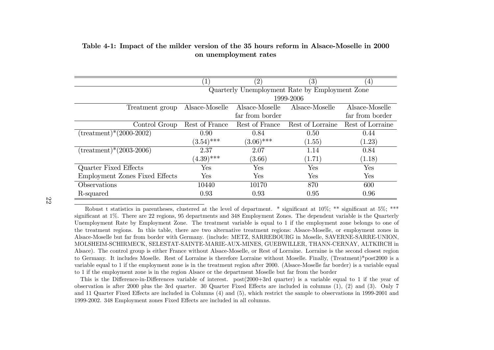|                                       | $\left  \right $ | $^{\prime}2)$   | $\left( 3\right)$                              | $\left(4\right)$ |
|---------------------------------------|------------------|-----------------|------------------------------------------------|------------------|
|                                       |                  |                 | Quarterly Unemployment Rate by Employment Zone |                  |
|                                       |                  |                 | 1999-2006                                      |                  |
| Treatment group                       | Alsace-Moselle   | Alsace-Moselle  | Alsace-Moselle                                 | Alsace-Moselle   |
|                                       |                  | far from border |                                                | far from border  |
| Control Group                         | Rest of France   | Rest of France  | Rest of Lorraine                               | Rest of Lorraine |
| $(treatment)*(2000-2002)$             | 0.90             | 0.84            | 0.50                                           | 0.44             |
|                                       | $(3.54)$ ***     | $(3.06)$ ***    | (1.55)                                         | (1.23)           |
| $(\text{treatment})*(2003-2006)$      | 2.37             | 2.07            | 1.14                                           | 0.84             |
|                                       | $(4.39)$ ***     | (3.66)          | (1.71)                                         | (1.18)           |
| Quarter Fixed Effects                 | Yes              | ${\hbox{Yes}}$  | Yes                                            | Yes              |
| <b>Employment Zones Fixed Effects</b> | Yes              | Yes             | Yes                                            | Yes              |
| Observations                          | 10440            | 10170           | 870                                            | 600              |
| R-squared                             | 0.93             | 0.93            | 0.95                                           | 0.96             |

#### Table 4-1: Impact of the milder version of the 35 hours reform in Alsace-Moselle in 2000on unemployment rates

22

Robust t statistics in parentheses, clustered at the level of department. \* significant at  $10\%$ ; \*\* significant at  $5\%$ ; \*\*\* significant at 1%. There are 22 regions, 95 departments and 348 Employment Zones. The dependent variable is the Quarterly Unemployment Rate by Employment Zone. The treatment variable is equal to 1 if the employment zone belongs to one ofthe treatment regions. In this table, there are two alternative treatment regions: Alsace-Moselle, or employment zones in Alsace-Moselle but far from border with Germany. (include: METZ, SARREBOURG in Moselle, SAVERNE-SARRE-UNION,MOLSHEIM-SCHIRMECK, SELESTAT-SAINTE-MARIE-AUX-MINES, GUEBWILLER, THANN-CERNAY, ALTKIRCH in Alsace). The control group is either France without Alsace-Moselle, or Rest of Lorraine. Lorraine is the second closest region to Germany. It includes Moselle. Rest of Lorraine is therefore Lorraine without Moselle. Finally, (Treatment)\*post2000 is <sup>a</sup> variable equa<sup>l</sup> to <sup>1</sup> if the employment zone is in the treatment region after 2000. (Alsace-Moselle far border) is <sup>a</sup> variable equa<sup>l</sup>to 1 if the employment zone is in the region Alsace or the department Moselle but far from the border

This is the Difference-in-Differences variable of interest. post(2000+3rd quarter) is a variable equal to 1 if the year of observation is after 2000 plus the 3rd quarter. 30 Quarter Fixed Effects are included in columns  $(1)$ ,  $(2)$  and  $(3)$ . Only 7 and 11 Quarter Fixed Effects are included in Columns (4) and (5), which restrict the sample to observations in 1999-2001 and 1999-2002. 348 Employment zones Fixed Effects are included in all columns.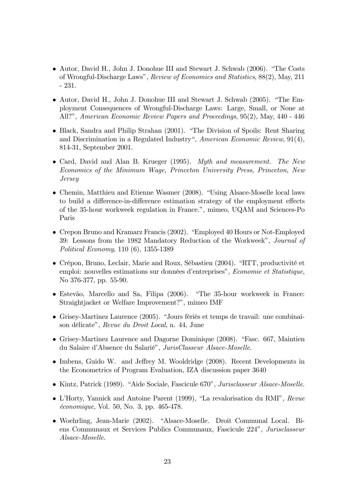- $\bullet$  Autor, David H., John J. Donohue III and Stewart J. Schwab (2006). "The Costs of Wrongful-Discharge Lawsî, Review of Economics and Statistics, 88(2), May, 211 - 231.
- Autor, David H., John J. Donohue III and Stewart J. Schwab (2005). "The Employment Consequences of Wrongful-Discharge Laws: Large, Small, or None at All?î, American Economic Review Papers and Proceedings, 95(2), May, 440 - 446
- Black, Sandra and Philip Strahan (2001). "The Division of Spoils: Rent Sharing and Discrimination in a Regulated Industry", American Economic Review,  $91(4)$ , 814-31, September 2001.
- Card, David and Alan B. Krueger (1995). Myth and measurement. The New Economics of the Minimum Wage, Princeton University Press, Princeton, New Jersey
- $\bullet$  Chemin, Matthieu and Etienne Wasmer (2008). "Using Alsace-Moselle local laws to build a difference-in-difference estimation strategy of the employment effects of the 35-hour workweek regulation in France.", mimeo, UQAM and Sciences-Po Paris
- Crepon Bruno and Kramarz Francis (2002). "Employed 40 Hours or Not-Employed 39: Lessons from the 1982 Mandatory Reduction of the Workweek", Journal of Political Economy, 110 (6), 1355-1389
- Crépon, Bruno, Leclair, Marie and Roux, Sébastien (2004). "RTT, productivité et emploi: nouvelles estimations sur données d'entreprises", Economie et Statistique, No 376-377, pp. 55-90.
- $\bullet$  Estevão, Marcello and Sa, Filipa (2006). "The 35-hour workweek in France: Straightjacket or Welfare Improvement?", mimeo IMF
- $\bullet$  Grisey-Martinez Laurence (2005). "Jours fériés et temps de travail: une combinaison délicate", Revue du Droit Local, n. 44, June
- $\bullet$  Grisey-Martinez Laurence and Dagorne Dominique (2008). "Fasc. 667, Maintien du Salaire d'Absence du Salarié", JurisClasseur Alsace-Moselle.
- $\bullet$  Imbens, Guido W. and Jeffrey M. Wooldridge (2008). Recent Developments in the Econometrics of Program Evaluation, IZA discussion paper 3640
- Kintz, Patrick (1989). "Aide Sociale, Fascicule 670", Jurisclasseur Alsace-Moselle.
- $\bullet$  L'Horty, Yannick and Antoine Parent (1999), "La revalorisation du RMI", Revue Èconomique, Vol. 50, No. 3, pp. 465-478.
- $\bullet$  Woehrling, Jean-Marie (2002). "Alsace-Moselle. Droit Communal Local. Biens Communaux et Services Publics Communaux, Fascicule 224<sup>n</sup>, Jurisclasseur Alsace-Moselle.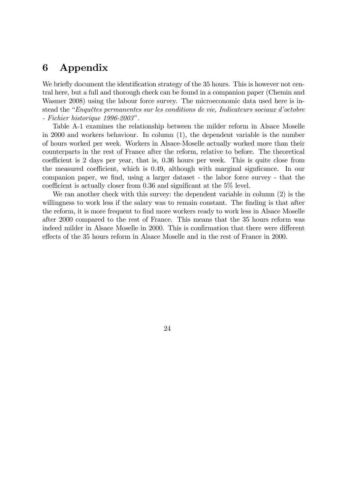## 6 Appendix

We briefly document the identification strategy of the 35 hours. This is however not central here, but a full and thorough check can be found in a companion paper (Chemin and Wasmer 2008) using the labour force survey. The microeconomic data used here is instead the "Enquêtes permanentes sur les conditions de vie, Indicateurs sociaux d'octobre  $-$  Fichier historique 1996-2003".

Table A-1 examines the relationship between the milder reform in Alsace Moselle in 2000 and workers behaviour. In column (1), the dependent variable is the number of hours worked per week. Workers in Alsace-Moselle actually worked more than their counterparts in the rest of France after the reform, relative to before. The theoretical coefficient is 2 days per year, that is, 0.36 hours per week. This is quite close from the measured coefficient, which is 0.49, although with marginal significance. In our companion paper, we Önd, using a larger dataset - the labor force survey - that the coefficient is actually closer from  $0.36$  and significant at the  $5\%$  level.

We ran another check with this survey: the dependent variable in column (2) is the willingness to work less if the salary was to remain constant. The finding is that after the reform, it is more frequent to find more workers ready to work less in Alsace Moselle after 2000 compared to the rest of France. This means that the 35 hours reform was indeed milder in Alsace Moselle in 2000. This is confirmation that there were different effects of the 35 hours reform in Alsace Moselle and in the rest of France in 2000.